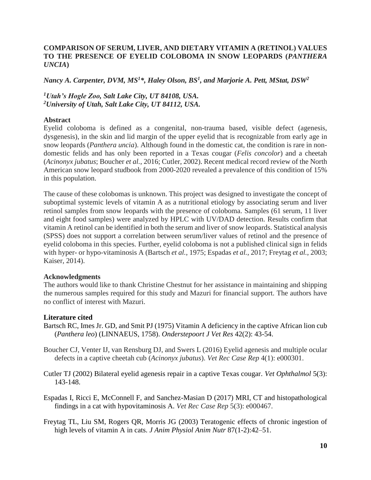## **COMPARISON OF SERUM, LIVER, AND DIETARY VITAMIN A (RETINOL) VALUES TO THE PRESENCE OF EYELID COLOBOMA IN SNOW LEOPARDS (***PANTHERA UNCIA***)**

*Nancy A. Carpenter, DVM, MS<sup>1</sup>\*, Haley Olson, BS<sup>1</sup> , and Marjorie A. Pett, MStat, DSW<sup>2</sup>*

*<sup>1</sup>Utah's Hogle Zoo, Salt Lake City, UT 84108, USA. <sup>2</sup>University of Utah, Salt Lake City, UT 84112, USA.*

## **Abstract**

Eyelid coloboma is defined as a congenital, non-trauma based, visible defect (agenesis, dysgenesis), in the skin and lid margin of the upper eyelid that is recognizable from early age in snow leopards (*Panthera uncia*). Although found in the domestic cat, the condition is rare in nondomestic felids and has only been reported in a Texas cougar (*Felis concolor*) and a cheetah (*Acinonyx jubatus*; Boucher *et al.*, 2016; Cutler, 2002). Recent medical record review of the North American snow leopard studbook from 2000-2020 revealed a prevalence of this condition of 15% in this population.

The cause of these colobomas is unknown. This project was designed to investigate the concept of suboptimal systemic levels of vitamin A as a nutritional etiology by associating serum and liver retinol samples from snow leopards with the presence of coloboma. Samples (61 serum, 11 liver and eight food samples) were analyzed by HPLC with UV/DAD detection. Results confirm that vitamin A retinol can be identified in both the serum and liver of snow leopards. Statistical analysis (SPSS) does not support a correlation between serum/liver values of retinol and the presence of eyelid coloboma in this species. Further, eyelid coloboma is not a published clinical sign in felids with hyper- or hypo-vitaminosis A (Bartsch *et al.*, 1975; Espadas *et al.*, 2017; Freytag *et al.*, 2003; Kaiser, 2014).

## **Acknowledgments**

The authors would like to thank Christine Chestnut for her assistance in maintaining and shipping the numerous samples required for this study and Mazuri for financial support. The authors have no conflict of interest with Mazuri.

## **Literature cited**

- Bartsch RC, Imes Jr. GD, and Smit PJ (1975) Vitamin A deficiency in the captive African lion cub (*Panthera leo*) (LINNAEUS, 1758). *Onderstepoort J Vet Res* 42(2): 43-54.
- Boucher CJ, Venter IJ, van Rensburg DJ, and Swers L (2016) Eyelid agenesis and multiple ocular defects in a captive cheetah cub (*Acinonyx jubatus*). *Vet Rec Case Rep* 4(1): e000301.
- Cutler TJ (2002) Bilateral eyelid agenesis repair in a captive Texas cougar. *Vet Ophthalmol* 5(3): 143-148.
- Espadas I, Ricci E, McConnell F, and Sanchez-Masian D (2017) MRI, CT and histopathological findings in a cat with hypovitaminosis A. *Vet Rec Case Rep* 5(3): e000467.
- Freytag TL, Liu SM, Rogers QR, Morris JG (2003) Teratogenic effects of chronic ingestion of high levels of vitamin A in cats. *J Anim Physiol Anim Nutr* 87(1-2):42–51.